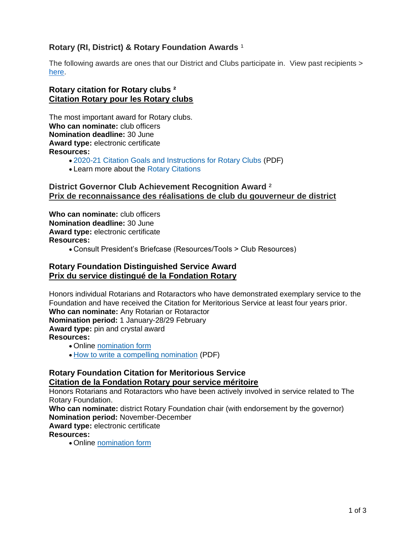# **Rotary (RI, District) & Rotary Foundation Awards** <sup>1</sup>

The following awards are ones that our District and Clubs participate in. View past recipients > [here.](https://portal.clubrunner.ca/50040/page/district-7010-award-recipients)

#### **Rotary citation for Rotary clubs ² Citation Rotary pour les Rotary clubs**

The most important award for Rotary clubs. **Who can nominate:** club officers **Nomination deadline:** 30 June **Award type:** electronic certificate **Resources:**

- [2020-21 Citation Goals and Instructions for Rotary Clubs](https://my-cms.rotary.org/en/document/rotary-citation-goals-and-instructions-2020-21) (PDF)
- Learn more about the [Rotary Citations](https://my-cms.rotary.org/en/news-media/office-president/rotary-citation?embed=true)

#### **District Governor Club Achievement Recognition Award** ² **Prix de reconnaissance des réalisations de club du gouverneur de district**

**Who can nominate:** club officers **Nomination deadline:** 30 June **Award type:** electronic certificate **Resources:**

• Consult President's Briefcase (Resources/Tools > Club Resources)

#### **Rotary Foundation Distinguished Service Award Prix du service distingué de la Fondation Rotary**

Honors individual Rotarians and Rotaractors who have demonstrated exemplary service to the Foundation and have received the Citation for Meritorious Service at least four years prior. **Who can nominate:** Any Rotarian or Rotaractor **Nomination period:** 1 January-28/29 February **Award type:** pin and crystal award **Resources:** • Online [nomination form](https://rotary.qualtrics.com/jfe/form/SV_3Cv2x1V2IoiMoPH)

• [How to write a compelling nomination](https://my-cms.rotary.org/en/document/how-write-compelling-nomination) (PDF)

## **Rotary Foundation Citation for Meritorious Service Citation de la Fondation Rotary pour service méritoire**

Honors Rotarians and Rotaractors who have been actively involved in service related to The Rotary Foundation.

**Who can nominate:** district Rotary Foundation chair (with endorsement by the governor) **Nomination period:** November-December **Award type:** electronic certificate

#### **Resources:**

• Online [nomination form](https://rotary.qualtrics.com/jfe/form/SV_6SaqTiH3QyjdFR3)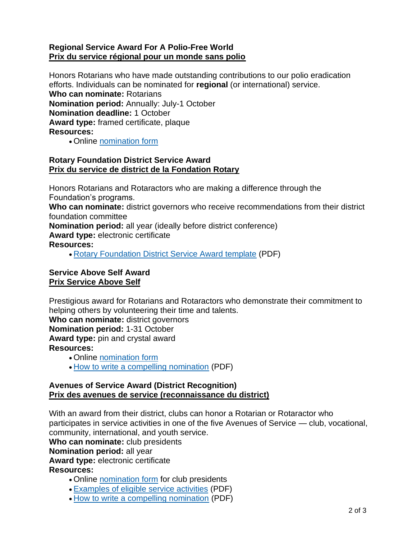# **Regional Service Award For A Polio-Free World Prix du service régional pour un monde sans polio**

Honors Rotarians who have made outstanding contributions to our polio eradication efforts. Individuals can be nominated for **regional** (or international) service. **Who can nominate:** Rotarians **Nomination period:** Annually: July-1 October **Nomination deadline:** 1 October **Award type:** framed certificate, plaque **Resources:**

• Online [nomination form](https://rotary.qualtrics.com/jfe/form/SV_9RG7oHviieQmAkd)

## **Rotary Foundation District Service Award Prix du service de district de la Fondation Rotary**

Honors Rotarians and Rotaractors who are making a difference through the Foundation's programs.

**Who can nominate:** district governors who receive recommendations from their district foundation committee

**Nomination period:** all year (ideally before district conference)

**Award type:** electronic certificate

## **Resources:**

• [Rotary Foundation District Service Award template](https://my-cms.rotary.org/en/document/district-service-award-template) (PDF)

# **Service Above Self Award Prix Service Above Self**

Prestigious award for Rotarians and Rotaractors who demonstrate their commitment to helping others by volunteering their time and talents.

**Who can nominate:** district governors

**Nomination period:** 1-31 October

**Award type:** pin and crystal award **Resources:**

- Online [nomination form](https://rotary.qualtrics.com/jfe/form/SV_3QqKGOfQReFIluJ)
- [How to write a compelling nomination](https://my-cms.rotary.org/en/document/how-write-compelling-nomination) (PDF)

## **Avenues of Service Award (District Recognition) Prix des avenues de service (reconnaissance du district)**

With an award from their district, clubs can honor a Rotarian or Rotaractor who participates in service activities in one of the five Avenues of Service — club, vocational, community, international, and youth service.

**Who can nominate:** club presidents

**Nomination period:** all year

**Award type:** electronic certificate

## **Resources:**

- Online [nomination form](https://rotary.qualtrics.com/jfe/form/SV_4V0rQ6ijj6qu9pj) for club presidents
- [Examples of eligible service activities](https://my-cms.rotary.org/en/document/avenues-service-award-examples-eligible-service-activities) (PDF)
- [How to write a compelling nomination](https://my-cms.rotary.org/en/document/how-write-compelling-nomination) (PDF)